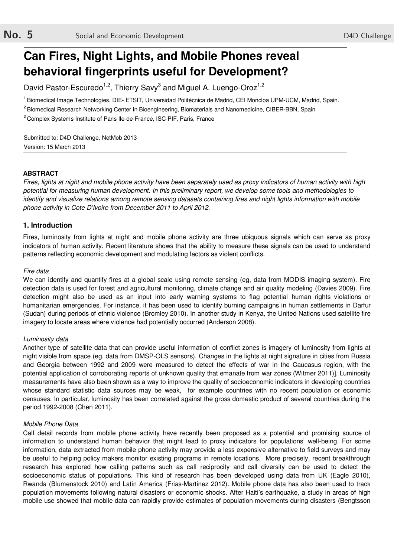# **Can Fires, Night Lights, and Mobile Phones reveal behavioral fingerprints useful for Development?**

David Pastor-Escuredo<sup>1,2</sup>, Thierry Savy<sup>3</sup> and Miguel A. Luengo-Oroz<sup>1,2</sup>

<sup>1</sup> Biomedical Image Technologies, DIE- ETSIT, Universidad Politécnica de Madrid, CEI Moncloa UPM-UCM, Madrid, Spain.

<sup>2</sup> Biomedical Research Networking Center in Bioengineering, Biomaterials and Nanomedicine, CIBER-BBN, Spain

<sup>3</sup> Complex Systems Institute of Paris Ile-de-France, ISC-PIF, Paris, France

Submitted to: D4D Challenge, NetMob 2013 Version: 15 March 2013

#### **ABSTRACT**

*Fires, lights at night and mobile phone activity have been separately used as proxy indicators of human activity with high potential for measuring human development. In this preliminary report, we develop some tools and methodologies to identify and visualize relations among remote sensing datasets containing fires and night lights information with mobile phone activity in Cote D'Ivoire from December 2011 to April 2012.* 

### **1. Introduction**

Fires, luminosity from lights at night and mobile phone activity are three ubiquous signals which can serve as proxy indicators of human activity. Recent literature shows that the ability to measure these signals can be used to understand patterns reflecting economic development and modulating factors as violent conflicts.

#### *Fire data*

We can identify and quantify fires at a global scale using remote sensing (eg, data from MODIS imaging system). Fire detection data is used for forest and agricultural monitoring, climate change and air quality modeling (Davies 2009). Fire detection might also be used as an input into early warning systems to flag potential human rights violations or humanitarian emergencies. For instance, it has been used to identify burning campaigns in human settlements in Darfur (Sudan) during periods of ethnic violence (Bromley 2010). In another study in Kenya, the United Nations used satellite fire imagery to locate areas where violence had potentially occurred (Anderson 2008).

#### *Luminosity data*

Another type of satellite data that can provide useful information of conflict zones is imagery of luminosity from lights at night visible from space (eg. data from DMSP-OLS sensors). Changes in the lights at night signature in cities from Russia and Georgia between 1992 and 2009 were measured to detect the effects of war in the Caucasus region, with the potential application of corroborating reports of unknown quality that emanate from war zones (Witmer 2011)]. Luminosity measurements have also been shown as a way to improve the quality of socioeconomic indicators in developing countries whose standard statistic data sources may be weak, for example countries with no recent population or economic censuses. In particular, luminosity has been correlated against the gross domestic product of several countries during the period 1992-2008 (Chen 2011).

#### *Mobile Phone Data*

Call detail records from mobile phone activity have recently been proposed as a potential and promising source of information to understand human behavior that might lead to proxy indicators for populations' well-being. For some information, data extracted from mobile phone activity may provide a less expensive alternative to field surveys and may be useful to helping policy makers monitor existing programs in remote locations. More precisely, recent breakthrough research has explored how calling patterns such as call reciprocity and call diversity can be used to detect the socioeconomic status of populations. This kind of research has been developed using data from UK (Eagle 2010), Rwanda (Blumenstock 2010) and Latin America (Frias-Martinez 2012). Mobile phone data has also been used to track population movements following natural disasters or economic shocks. After Haiti's earthquake, a study in areas of high mobile use showed that mobile data can rapidly provide estimates of population movements during disasters (Bengtsson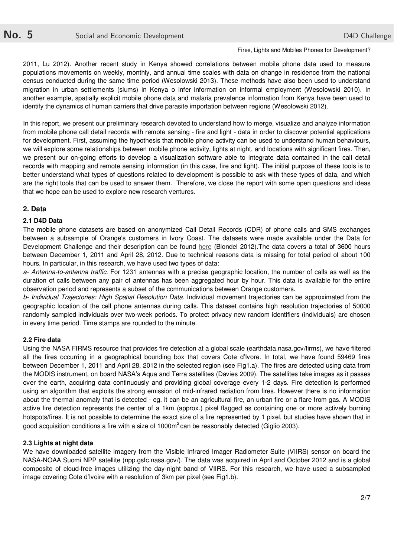2011, Lu 2012). Another recent study in Kenya showed correlations between mobile phone data used to measure populations movements on weekly, monthly, and annual time scales with data on change in residence from the national census conducted during the same time period (Wesolowski 2013). These methods have also been used to understand migration in urban settlements (slums) in Kenya o infer information on informal employment (Wesolowski 2010). In another example, spatially explicit mobile phone data and malaria prevalence information from Kenya have been used to identify the dynamics of human carriers that drive parasite importation between regions (Wesolowski 2012).

In this report, we present our preliminary research devoted to understand how to merge, visualize and analyze information from mobile phone call detail records with remote sensing - fire and light - data in order to discover potential applications for development. First, assuming the hypothesis that mobile phone activity can be used to understand human behaviours, we will explore some relationships between mobile phone activity, lights at night, and locations with significant fires. Then, we present our on-going efforts to develop a visualization software able to integrate data contained in the call detail records with mapping and remote sensing information (in this case, fire and light). The initial purpose of these tools is to better understand what types of questions related to development is possible to ask with these types of data, and which are the right tools that can be used to answer them. Therefore, we close the report with some open questions and ideas that we hope can be used to explore new research ventures.

# **2. Data**

# **2.1 D4D Data**

The mobile phone datasets are based on anonymized Call Detail Records (CDR) of phone calls and SMS exchanges between a subsample of Orange's customers in Ivory Coast. The datasets were made available under the Data for Development Challenge and their description can be found here (Blondel 2012).The data covers a total of 3600 hours between December 1, 2011 and April 28, 2012. Due to technical reasons data is missing for total period of about 100 hours. In particular, in this research, we have used two types of data:

*a- Antenna-to-antenna traffic.* For 1231 antennas with a precise geographic location, the number of calls as well as the duration of calls between any pair of antennas has been aggregated hour by hour. This data is available for the entire observation period and represents a subset of the communications between Orange customers.

*b- Individual Trajectories: High Spatial Resolution Data.* Individual movement trajectories can be approximated from the geographic location of the cell phone antennas during calls. This dataset contains high resolution trajectories of 50000 randomly sampled individuals over two-week periods. To protect privacy new random identifiers (individuals) are chosen in every time period. Time stamps are rounded to the minute.

### **2.2 Fire data**

Using the NASA FIRMS resource that provides fire detection at a global scale (earthdata.nasa.gov/firms), we have filtered all the fires occurring in a geographical bounding box that covers Cote d'Ivore. In total, we have found 59469 fires between December 1, 2011 and April 28, 2012 in the selected region (see Fig1.a). The fires are detected using data from the MODIS instrument, on board NASA's Aqua and Terra satellites (Davies 2009). The satellites take images as it passes over the earth, acquiring data continuously and providing global coverage every 1-2 days. Fire detection is performed using an algorithm that exploits the strong emission of mid-infrared radiation from fires. However there is no information about the thermal anomaly that is detected - eg. it can be an agricultural fire, an urban fire or a flare from gas. A MODIS active fire detection represents the center of a 1km (approx.) pixel flagged as containing one or more actively burning hotspots/fires. It is not possible to determine the exact size of a fire represented by 1 pixel, but studies have shown that in good acquisition conditions a fire with a size of 1000m<sup>2</sup> can be reasonably detected (Giglio 2003).

### **2.3 Lights at night data**

We have downloaded satellite imagery from the Visible Infrared Imager Radiometer Suite (VIIRS) sensor on board the NASA-NOAA Suomi NPP satellite (npp.gsfc.nasa.gov/). The data was acquired in April and October 2012 and is a global composite of cloud-free images utilizing the day-night band of VIIRS. For this research, we have used a subsampled image covering Cote d'Ivoire with a resolution of 3km per pixel (see Fig1.b).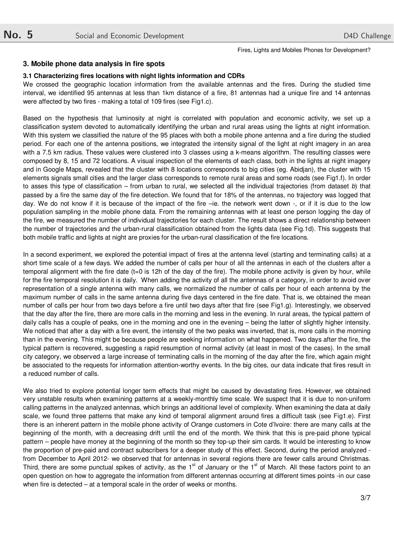#### **3. Mobile phone data analysis in fire spots**

#### **3.1 Characterizing fires locations with night lights information and CDRs**

We crossed the geographic location information from the available antennas and the fires. During the studied time interval, we identified 95 antennas at less than 1km distance of a fire, 81 antennas had a unique fire and 14 antennas were affected by two fires - making a total of 109 fires (see Fig1.c).

Based on the hypothesis that luminosity at night is correlated with population and economic activity, we set up a classification system devoted to automatically identifying the urban and rural areas using the lights at night information. With this system we classified the nature of the 95 places with both a mobile phone antenna and a fire during the studied period. For each one of the antenna positions, we integrated the intensity signal of the light at night imagery in an area with a 7.5 km radius. These values were clustered into 3 classes using a k-means algorithm. The resulting classes were composed by 8, 15 and 72 locations. A visual inspection of the elements of each class, both in the lights at night imagery and in Google Maps, revealed that the cluster with 8 locations corresponds to big cities (eg. Abidjan), the cluster with 15 elements signals small cities and the larger class corresponds to remote rural areas and some roads (see Fig1.f). In order to asses this type of classification – from urban to rural, we selected all the individual trajectories (from dataset *b*) that passed by a fire the same day of the fire detection. We found that for 18% of the antennas, no trajectory was logged that day. We do not know if it is because of the impact of the fire –ie. the network went down -, or if it is due to the low population sampling in the mobile phone data. From the remaining antennas with at least one person logging the day of the fire, we measured the number of individual trajectories for each cluster. The result shows a direct relationship between the number of trajectories and the urban-rural classification obtained from the lights data (see Fig.1d). This suggests that both mobile traffic and lights at night are proxies for the urban-rural classification of the fire locations.

In a second experiment, we explored the potential impact of fires at the antenna level (starting and terminating calls) at a short time scale of a few days. We added the number of calls per hour of all the antennas in each of the clusters after a temporal alignment with the fire date  $(t=0$  is 12h of the day of the fire). The mobile phone activity is given by hour, while for the fire temporal resolution it is daily. When adding the activity of all the antennas of a category, in order to avoid over representation of a single antenna with many calls, we normalized the number of calls per hour of each antenna by the maximum number of calls in the same antenna during five days centered in the fire date. That is, we obtained the mean number of calls per hour from two days before a fire until two days after that fire (see Fig1.g). Interestingly, we observed that the day after the fire, there are more calls in the morning and less in the evening. In rural areas, the typical pattern of daily calls has a couple of peaks, one in the morning and one in the evening – being the latter of slightly higher intensity. We noticed that after a day with a fire event, the intensity of the two peaks was inverted, that is, more calls in the morning than in the evening. This might be because people are seeking information on what happened. Two days after the fire, the typical pattern is recovered, suggesting a rapid resumption of normal activity (at least in most of the cases). In the small city category, we observed a large increase of terminating calls in the morning of the day after the fire, which again might be associated to the requests for information attention-worthy events. In the big cites, our data indicate that fires result in a reduced number of calls.

We also tried to explore potential longer term effects that might be caused by devastating fires. However, we obtained very unstable results when examining patterns at a weekly-monthly time scale. We suspect that it is due to non-uniform calling patterns in the analyzed antennas, which brings an additional level of complexity. When examining the data at daily scale, we found three patterns that make any kind of temporal alignment around fires a difficult task (see Fig1.e). First there is an inherent pattern in the mobile phone activity of Orange customers in Cote d'Ivoire: there are many calls at the beginning of the month, with a decreasing drift until the end of the month. We think that this is pre-paid phone typical pattern – people have money at the beginning of the month so they top-up their sim cards. It would be interesting to know the proportion of pre-paid and contract subscribers for a deeper study of this effect. Second, during the period analyzed from December to April 2012- we observed that for antennas in several regions there are fewer calls around Christmas. Third, there are some punctual spikes of activity, as the  $1<sup>st</sup>$  of January or the  $1<sup>st</sup>$  of March. All these factors point to an open question on how to aggregate the information from different antennas occurring at different times points -in our case when fire is detected – at a temporal scale in the order of weeks or months.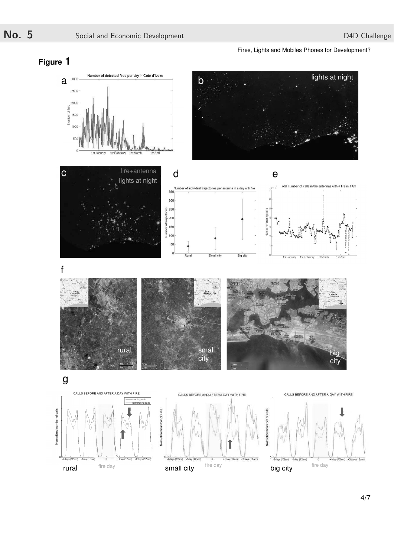

# **Figure 1**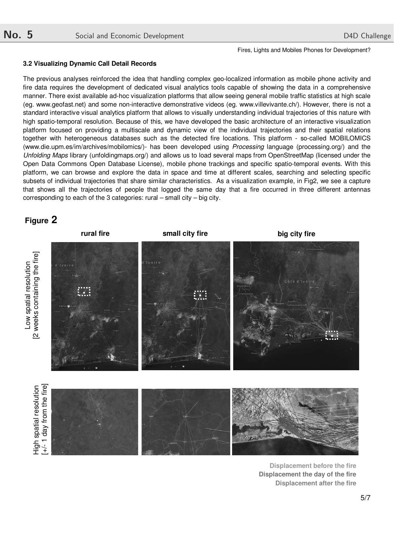#### **3.2 Visualizing Dynamic Call Detail Records**

The previous analyses reinforced the idea that handling complex geo-localized information as mobile phone activity and fire data requires the development of dedicated visual analytics tools capable of showing the data in a comprehensive manner. There exist available ad-hoc visualization platforms that allow seeing general mobile traffic statistics at high scale (eg. www.geofast.net) and some non-interactive demonstrative videos (eg. www.villevivante.ch/). However, there is not a standard interactive visual analytics platform that allows to visually understanding individual trajectories of this nature with high spatio-temporal resolution. Because of this, we have developed the basic architecture of an interactive visualization platform focused on providing a multiscale and dynamic view of the individual trajectories and their spatial relations together with heterogeneous databases such as the detected fire locations. This platform - so-called MOBILOMICS (www.die.upm.es/im/archives/mobilomics/)- has been developed using *Processing* language (processing.org/) and the *Unfolding Maps* library (unfoldingmaps.org/) and allows us to load several maps from OpenStreetMap (licensed under the Open Data Commons Open Database License), mobile phone trackings and specific spatio-temporal events. With this platform, we can browse and explore the data in space and time at different scales, searching and selecting specific subsets of individual trajectories that share similar characteristics. As a visualization example, in Fig2, we see a capture that shows all the trajectories of people that logged the same day that a fire occurred in three different antennas corresponding to each of the 3 categories: rural – small city – big city.





**Displacement before the fire Displacement the day of the fire Displacement after the fire**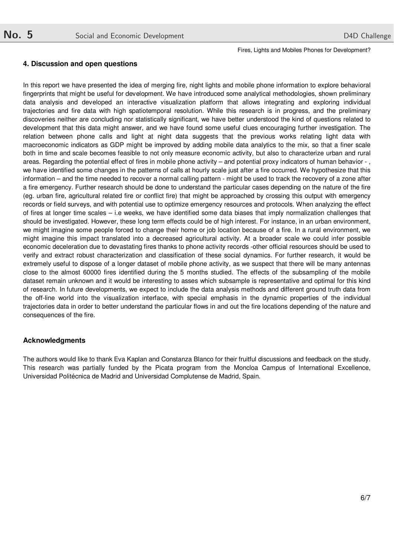## **4. Discussion and open questions**

In this report we have presented the idea of merging fire, night lights and mobile phone information to explore behavioral fingerprints that might be useful for development. We have introduced some analytical methodologies, shown preliminary data analysis and developed an interactive visualization platform that allows integrating and exploring individual trajectories and fire data with high spatiotemporal resolution. While this research is in progress, and the preliminary discoveries neither are concluding nor statistically significant, we have better understood the kind of questions related to development that this data might answer, and we have found some useful clues encouraging further investigation. The relation between phone calls and light at night data suggests that the previous works relating light data with macroeconomic indicators as GDP might be improved by adding mobile data analytics to the mix, so that a finer scale both in time and scale becomes feasible to not only measure economic activity, but also to characterize urban and rural areas. Regarding the potential effect of fires in mobile phone activity – and potential proxy indicators of human behavior - , we have identified some changes in the patterns of calls at hourly scale just after a fire occurred. We hypothesize that this information – and the time needed to recover a normal calling pattern - might be used to track the recovery of a zone after a fire emergency. Further research should be done to understand the particular cases depending on the nature of the fire (eg. urban fire, agricultural related fire or conflict fire) that might be approached by crossing this output with emergency records or field surveys, and with potential use to optimize emergency resources and protocols. When analyzing the effect of fires at longer time scales – i.e weeks, we have identified some data biases that imply normalization challenges that should be investigated. However, these long term effects could be of high interest. For instance, in an urban environment, we might imagine some people forced to change their home or job location because of a fire. In a rural environment, we might imagine this impact translated into a decreased agricultural activity. At a broader scale we could infer possible economic deceleration due to devastating fires thanks to phone activity records -other official resources should be used to verify and extract robust characterization and classification of these social dynamics. For further research, it would be extremely useful to dispose of a longer dataset of mobile phone activity, as we suspect that there will be many antennas close to the almost 60000 fires identified during the 5 months studied. The effects of the subsampling of the mobile dataset remain unknown and it would be interesting to asses which subsample is representative and optimal for this kind of research. In future developments, we expect to include the data analysis methods and different ground truth data from the off-line world into the visualization interface, with special emphasis in the dynamic properties of the individual trajectories data in order to better understand the particular flows in and out the fire locations depending of the nature and consequences of the fire.

### **Acknowledgments**

The authors would like to thank Eva Kaplan and Constanza Blanco for their fruitful discussions and feedback on the study. This research was partially funded by the Picata program from the Moncloa Campus of International Excellence, Universidad Politécnica de Madrid and Universidad Complutense de Madrid, Spain.